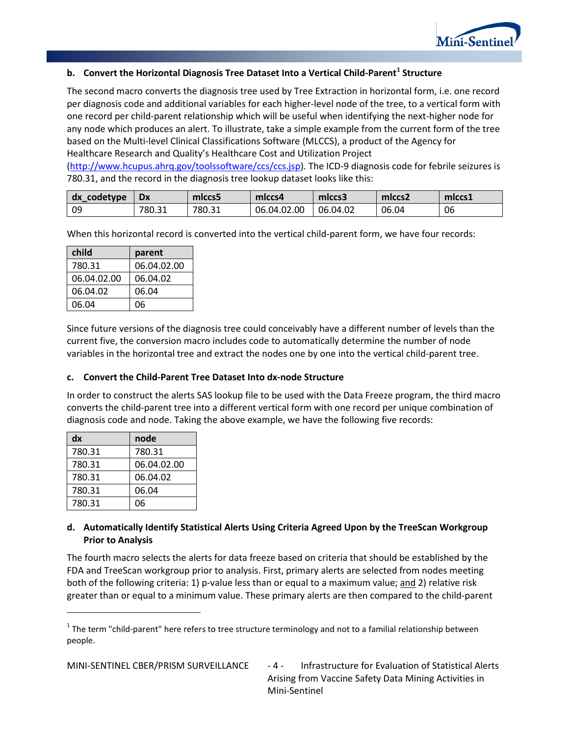

## **b.** Convert the Horizontal Diagnosis Tree Dataset Into a Vertical Child-Parent<sup>[1](#page-5-0)</sup> Structure

The second macro converts the diagnosis tree used by Tree Extraction in horizontal form, i.e. one record per diagnosis code and additional variables for each higher-level node of the tree, to a vertical form with one record per child-parent relationship which will be useful when identifying the next-higher node for any node which produces an alert. To illustrate, take a simple example from the current form of the tree based on the Multi-level Clinical Classifications Software (MLCCS), a product of the Agency for Healthcare Research and Quality's Healthcare Cost and Utilization Project

[\(http://www.hcupus.ahrq.gov/toolssoftware/ccs/ccs.jsp\)](http://www.hcupus.ahrq.gov/toolssoftware/ccs/ccs.jsp). The ICD-9 diagnosis code for febrile seizures is 780.31, and the record in the diagnosis tree lookup dataset looks like this:

| codetype<br>dx | <b>Dx</b> | miccs5 | miccs4      | miccs3   | mlccs <sub>2</sub> | mlccs1 |
|----------------|-----------|--------|-------------|----------|--------------------|--------|
| -09            | 780.31    | 780.31 | 06.04.02.00 | 06.04.02 | 06.04              | 06     |

When this horizontal record is converted into the vertical child-parent form, we have four records:

| child       | parent      |
|-------------|-------------|
| 780.31      | 06.04.02.00 |
| 06.04.02.00 | 06.04.02    |
| 06.04.02    | 06.04       |
| 06.04       | 06          |

Since future versions of the diagnosis tree could conceivably have a different number of levels than the current five, the conversion macro includes code to automatically determine the number of node variables in the horizontal tree and extract the nodes one by one into the vertical child-parent tree.

#### **c. Convert the Child-Parent Tree Dataset Into dx-node Structure**

In order to construct the alerts SAS lookup file to be used with the Data Freeze program, the third macro converts the child-parent tree into a different vertical form with one record per unique combination of diagnosis code and node. Taking the above example, we have the following five records:

| dx     | node        |
|--------|-------------|
| 780.31 | 780.31      |
| 780.31 | 06.04.02.00 |
| 780.31 | 06.04.02    |
| 780.31 | 06.04       |
| 780.31 | 06          |

#### **d. Automatically Identify Statistical Alerts Using Criteria Agreed Upon by the TreeScan Workgroup Prior to Analysis**

The fourth macro selects the alerts for data freeze based on criteria that should be established by the FDA and TreeScan workgroup prior to analysis. First, primary alerts are selected from nodes meeting both of the following criteria: 1) p-value less than or equal to a maximum value; and 2) relative risk greater than or equal to a minimum value. These primary alerts are then compared to the child-parent

Arising from Vaccine Safety Data Mining Activities in Mini-Sentinel

<span id="page-5-0"></span> $1$  The term "child-parent" here refers to tree structure terminology and not to a familial relationship between people.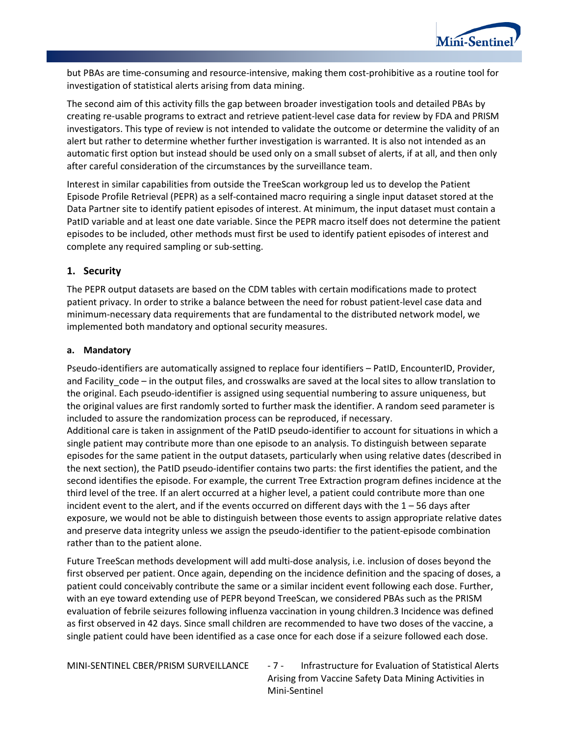

but PBAs are time-consuming and resource-intensive, making them cost-prohibitive as a routine tool for investigation of statistical alerts arising from data mining.

The second aim of this activity fills the gap between broader investigation tools and detailed PBAs by creating re-usable programs to extract and retrieve patient-level case data for review by FDA and PRISM investigators. This type of review is not intended to validate the outcome or determine the validity of an alert but rather to determine whether further investigation is warranted. It is also not intended as an automatic first option but instead should be used only on a small subset of alerts, if at all, and then only after careful consideration of the circumstances by the surveillance team.

Interest in similar capabilities from outside the TreeScan workgroup led us to develop the Patient Episode Profile Retrieval (PEPR) as a self-contained macro requiring a single input dataset stored at the Data Partner site to identify patient episodes of interest. At minimum, the input dataset must contain a PatID variable and at least one date variable. Since the PEPR macro itself does not determine the patient episodes to be included, other methods must first be used to identify patient episodes of interest and complete any required sampling or sub-setting.

## **1. Security**

The PEPR output datasets are based on the CDM tables with certain modifications made to protect patient privacy. In order to strike a balance between the need for robust patient-level case data and minimum-necessary data requirements that are fundamental to the distributed network model, we implemented both mandatory and optional security measures.

#### **a. Mandatory**

Pseudo-identifiers are automatically assigned to replace four identifiers – PatID, EncounterID, Provider, and Facility code – in the output files, and crosswalks are saved at the local sites to allow translation to the original. Each pseudo-identifier is assigned using sequential numbering to assure uniqueness, but the original values are first randomly sorted to further mask the identifier. A random seed parameter is included to assure the randomization process can be reproduced, if necessary.

Additional care is taken in assignment of the PatID pseudo-identifier to account for situations in which a single patient may contribute more than one episode to an analysis. To distinguish between separate episodes for the same patient in the output datasets, particularly when using relative dates (described in the next section), the PatID pseudo-identifier contains two parts: the first identifies the patient, and the second identifies the episode. For example, the current Tree Extraction program defines incidence at the third level of the tree. If an alert occurred at a higher level, a patient could contribute more than one incident event to the alert, and if the events occurred on different days with the  $1 - 56$  days after exposure, we would not be able to distinguish between those events to assign appropriate relative dates and preserve data integrity unless we assign the pseudo-identifier to the patient-episode combination rather than to the patient alone.

Future TreeScan methods development will add multi-dose analysis, i.e. inclusion of doses beyond the first observed per patient. Once again, depending on the incidence definition and the spacing of doses, a patient could conceivably contribute the same or a similar incident event following each dose. Further, with an eye toward extending use of PEPR beyond TreeScan, we considered PBAs such as the PRISM evaluation of febrile seizures following influenza vaccination in young children[.3](#page-23-0) Incidence was defined as first observed in 42 days. Since small children are recommended to have two doses of the vaccine, a single patient could have been identified as a case once for each dose if a seizure followed each dose.

MINI-SENTINEL CBER/PRISM SURVEILLANCE - 7 - Infrastructure for Evaluation of Statistical Alerts Arising from Vaccine Safety Data Mining Activities in Mini-Sentinel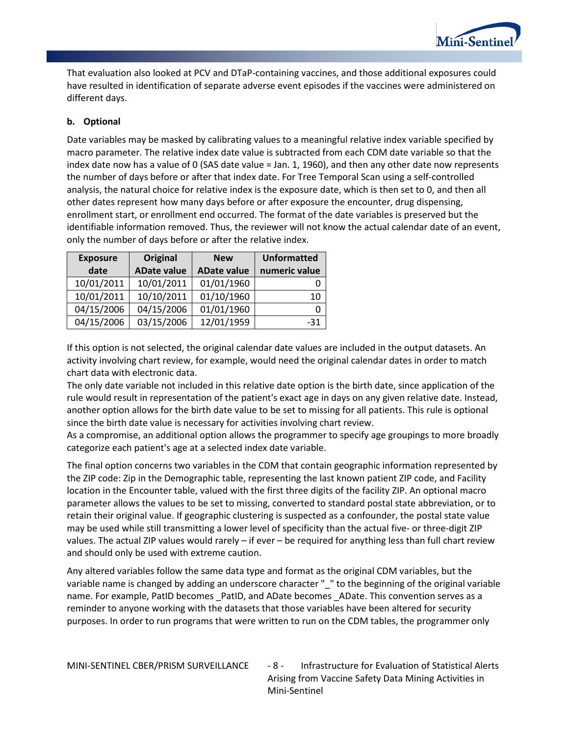

That evaluation also looked at PCV and DTaP-containing vaccines, and those additional exposures could have resulted in identification of separate adverse event episodes if the vaccines were administered on different days.

## **b. Optional**

Date variables may be masked by calibrating values to a meaningful relative index variable specified by macro parameter. The relative index date value is subtracted from each CDM date variable so that the index date now has a value of 0 (SAS date value = Jan. 1, 1960), and then any other date now represents the number of days before or after that index date. For Tree Temporal Scan using a self-controlled analysis, the natural choice for relative index is the exposure date, which is then set to 0, and then all other dates represent how many days before or after exposure the encounter, drug dispensing, enrollment start, or enrollment end occurred. The format of the date variables is preserved but the identifiable information removed. Thus, the reviewer will not know the actual calendar date of an event, only the number of days before or after the relative index.

| <b>Exposure</b> | Original           | <b>New</b>         | <b>Unformatted</b> |
|-----------------|--------------------|--------------------|--------------------|
| date            | <b>ADate value</b> | <b>ADate value</b> | numeric value      |
| 10/01/2011      | 10/01/2011         | 01/01/1960         |                    |
| 10/01/2011      | 10/10/2011         | 01/10/1960         | 10                 |
| 04/15/2006      | 04/15/2006         | 01/01/1960         | 0                  |
| 04/15/2006      | 03/15/2006         | 12/01/1959         | $-31$              |

If this option is not selected, the original calendar date values are included in the output datasets. An activity involving chart review, for example, would need the original calendar dates in order to match chart data with electronic data.

The only date variable not included in this relative date option is the birth date, since application of the rule would result in representation of the patient's exact age in days on any given relative date. Instead, another option allows for the birth date value to be set to missing for all patients. This rule is optional since the birth date value is necessary for activities involving chart review.

As a compromise, an additional option allows the programmer to specify age groupings to more broadly categorize each patient's age at a selected index date variable.

The final option concerns two variables in the CDM that contain geographic information represented by the ZIP code: Zip in the Demographic table, representing the last known patient ZIP code, and Facility location in the Encounter table, valued with the first three digits of the facility ZIP. An optional macro parameter allows the values to be set to missing, converted to standard postal state abbreviation, or to retain their original value. If geographic clustering is suspected as a confounder, the postal state value may be used while still transmitting a lower level of specificity than the actual five- or three-digit ZIP values. The actual ZIP values would rarely – if ever – be required for anything less than full chart review and should only be used with extreme caution.

Any altered variables follow the same data type and format as the original CDM variables, but the variable name is changed by adding an underscore character "\_" to the beginning of the original variable name. For example, PatID becomes \_PatID, and ADate becomes \_ADate. This convention serves as a reminder to anyone working with the datasets that those variables have been altered for security purposes. In order to run programs that were written to run on the CDM tables, the programmer only

MINI-SENTINEL CBER/PRISM SURVEILLANCE - 8 - Infrastructure for Evaluation of Statistical Alerts Arising from Vaccine Safety Data Mining Activities in Mini-Sentinel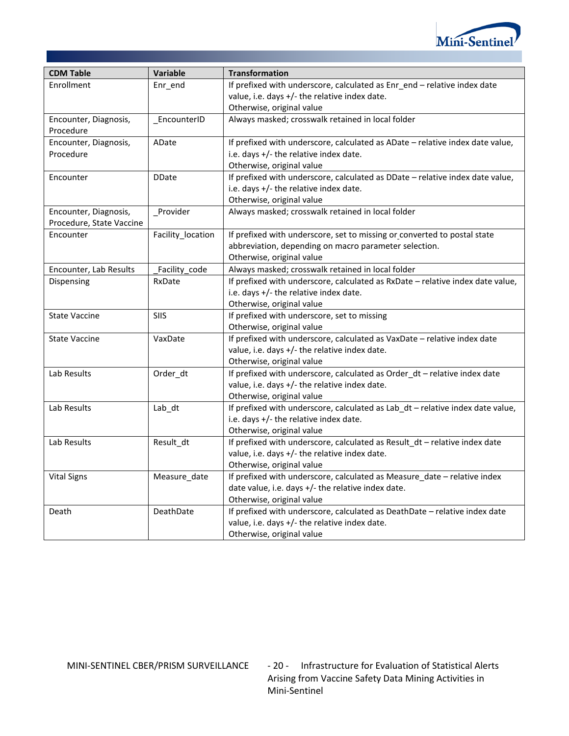

| <b>CDM Table</b>         | Variable          | <b>Transformation</b>                                                          |
|--------------------------|-------------------|--------------------------------------------------------------------------------|
| Enrollment               | Enr_end           | If prefixed with underscore, calculated as Enr_end - relative index date       |
|                          |                   | value, i.e. days +/- the relative index date.                                  |
|                          |                   | Otherwise, original value                                                      |
| Encounter, Diagnosis,    | EncounterID       | Always masked; crosswalk retained in local folder                              |
| Procedure                |                   |                                                                                |
| Encounter, Diagnosis,    | ADate             | If prefixed with underscore, calculated as ADate - relative index date value,  |
| Procedure                |                   | i.e. days +/- the relative index date.                                         |
|                          |                   | Otherwise, original value                                                      |
| Encounter                | <b>DDate</b>      | If prefixed with underscore, calculated as DDate - relative index date value,  |
|                          |                   | i.e. days +/- the relative index date.                                         |
|                          |                   | Otherwise, original value                                                      |
| Encounter, Diagnosis,    | Provider          | Always masked; crosswalk retained in local folder                              |
| Procedure, State Vaccine |                   |                                                                                |
| Encounter                | Facility_location | If prefixed with underscore, set to missing or converted to postal state       |
|                          |                   | abbreviation, depending on macro parameter selection.                          |
|                          |                   | Otherwise, original value                                                      |
| Encounter, Lab Results   | Facility code     | Always masked; crosswalk retained in local folder                              |
| Dispensing               | RxDate            | If prefixed with underscore, calculated as RxDate - relative index date value, |
|                          |                   | i.e. days +/- the relative index date.                                         |
|                          |                   | Otherwise, original value                                                      |
| <b>State Vaccine</b>     | <b>SIIS</b>       | If prefixed with underscore, set to missing                                    |
|                          |                   | Otherwise, original value                                                      |
| <b>State Vaccine</b>     | VaxDate           | If prefixed with underscore, calculated as VaxDate - relative index date       |
|                          |                   | value, i.e. days +/- the relative index date.                                  |
|                          |                   | Otherwise, original value                                                      |
| Lab Results              | Order_dt          | If prefixed with underscore, calculated as Order_dt - relative index date      |
|                          |                   | value, i.e. days +/- the relative index date.                                  |
|                          |                   | Otherwise, original value                                                      |
| Lab Results              | Lab_dt            | If prefixed with underscore, calculated as Lab_dt - relative index date value, |
|                          |                   | i.e. days +/- the relative index date.                                         |
|                          |                   | Otherwise, original value                                                      |
| Lab Results              | Result_dt         | If prefixed with underscore, calculated as Result_dt - relative index date     |
|                          |                   | value, i.e. days +/- the relative index date.                                  |
|                          |                   | Otherwise, original value                                                      |
| <b>Vital Signs</b>       | Measure_date      | If prefixed with underscore, calculated as Measure_date - relative index       |
|                          |                   | date value, i.e. days +/- the relative index date.                             |
|                          |                   | Otherwise, original value                                                      |
| Death                    | DeathDate         | If prefixed with underscore, calculated as DeathDate - relative index date     |
|                          |                   | value, i.e. days +/- the relative index date.                                  |
|                          |                   | Otherwise, original value                                                      |

MINI-SENTINEL CBER/PRISM SURVEILLANCE - 20 - Infrastructure for Evaluation of Statistical Alerts Arising from Vaccine Safety Data Mining Activities in Mini-Sentinel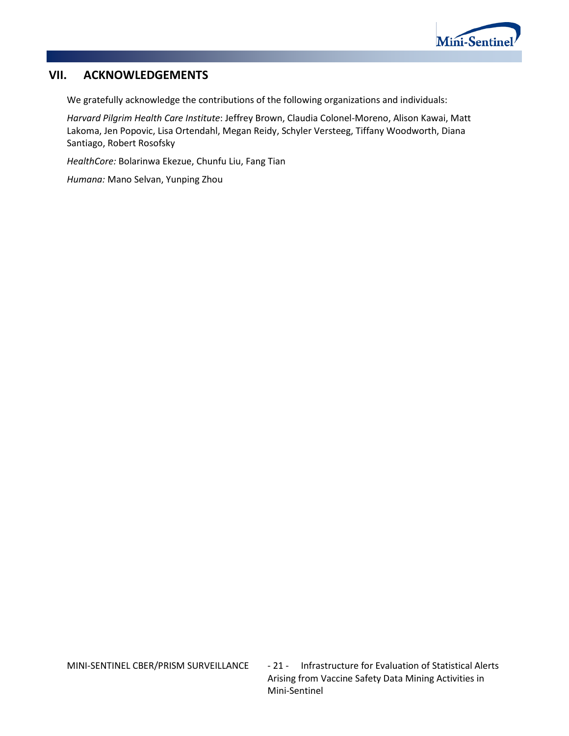

# **VII. ACKNOWLEDGEMENTS**

We gratefully acknowledge the contributions of the following organizations and individuals:

*Harvard Pilgrim Health Care Institute*: Jeffrey Brown, Claudia Colonel-Moreno, Alison Kawai, Matt Lakoma, Jen Popovic, Lisa Ortendahl, Megan Reidy, Schyler Versteeg, Tiffany Woodworth, Diana Santiago, Robert Rosofsky

*HealthCore:* Bolarinwa Ekezue, Chunfu Liu, Fang Tian

*Humana:* Mano Selvan, Yunping Zhou